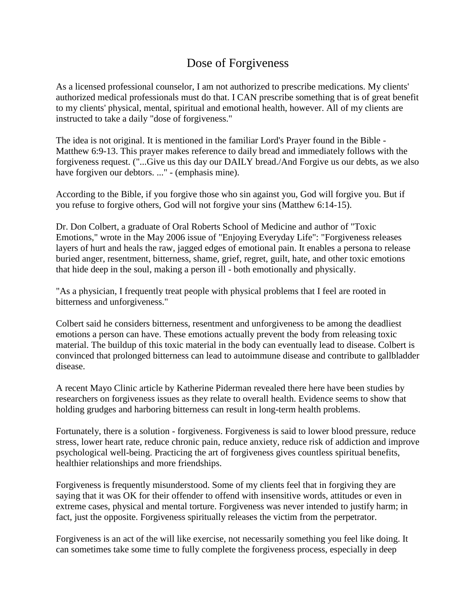## Dose of Forgiveness

As a licensed professional counselor, I am not authorized to prescribe medications. My clients' authorized medical professionals must do that. I CAN prescribe something that is of great benefit to my clients' physical, mental, spiritual and emotional health, however. All of my clients are instructed to take a daily "dose of forgiveness."

The idea is not original. It is mentioned in the familiar Lord's Prayer found in the Bible - Matthew 6:9-13. This prayer makes reference to daily bread and immediately follows with the forgiveness request. ("...Give us this day our DAILY bread./And Forgive us our debts, as we also have forgiven our debtors. ..." - (emphasis mine).

According to the Bible, if you forgive those who sin against you, God will forgive you. But if you refuse to forgive others, God will not forgive your sins (Matthew 6:14-15).

Dr. Don Colbert, a graduate of Oral Roberts School of Medicine and author of "Toxic Emotions," wrote in the May 2006 issue of "Enjoying Everyday Life": "Forgiveness releases layers of hurt and heals the raw, jagged edges of emotional pain. It enables a persona to release buried anger, resentment, bitterness, shame, grief, regret, guilt, hate, and other toxic emotions that hide deep in the soul, making a person ill - both emotionally and physically.

"As a physician, I frequently treat people with physical problems that I feel are rooted in bitterness and unforgiveness."

Colbert said he considers bitterness, resentment and unforgiveness to be among the deadliest emotions a person can have. These emotions actually prevent the body from releasing toxic material. The buildup of this toxic material in the body can eventually lead to disease. Colbert is convinced that prolonged bitterness can lead to autoimmune disease and contribute to gallbladder disease.

A recent Mayo Clinic article by Katherine Piderman revealed there here have been studies by researchers on forgiveness issues as they relate to overall health. Evidence seems to show that holding grudges and harboring bitterness can result in long-term health problems.

Fortunately, there is a solution - forgiveness. Forgiveness is said to lower blood pressure, reduce stress, lower heart rate, reduce chronic pain, reduce anxiety, reduce risk of addiction and improve psychological well-being. Practicing the art of forgiveness gives countless spiritual benefits, healthier relationships and more friendships.

Forgiveness is frequently misunderstood. Some of my clients feel that in forgiving they are saying that it was OK for their offender to offend with insensitive words, attitudes or even in extreme cases, physical and mental torture. Forgiveness was never intended to justify harm; in fact, just the opposite. Forgiveness spiritually releases the victim from the perpetrator.

Forgiveness is an act of the will like exercise, not necessarily something you feel like doing. It can sometimes take some time to fully complete the forgiveness process, especially in deep